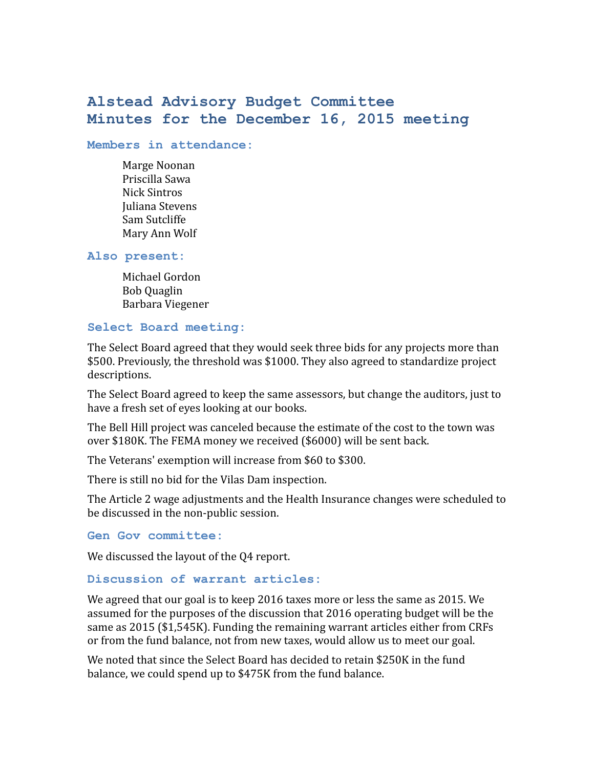# **Alstead Advisory Budget Committee Minutes for the December 16, 2015 meeting**

#### **Members in attendance:**

Marge Noonan Priscilla Sawa Nick Sintros Juliana Stevens Sam Sutcliffe Mary Ann Wolf

# **Also present:**

Michael Gordon Bob Quaglin Barbara Viegener

# **Select Board meeting:**

The Select Board agreed that they would seek three bids for any projects more than \$500. Previously, the threshold was \$1000. They also agreed to standardize project descriptions.

The Select Board agreed to keep the same assessors, but change the auditors, just to have a fresh set of eyes looking at our books.

The Bell Hill project was canceled because the estimate of the cost to the town was over \$180K. The FEMA money we received (\$6000) will be sent back.

The Veterans' exemption will increase from \$60 to \$300.

There is still no bid for the Vilas Dam inspection.

The Article 2 wage adjustments and the Health Insurance changes were scheduled to be discussed in the non-public session.

### **Gen Gov committee:**

We discussed the layout of the 04 report.

### **Discussion of warrant articles:**

We agreed that our goal is to keep 2016 taxes more or less the same as 2015. We assumed for the purposes of the discussion that 2016 operating budget will be the same as 2015 (\$1,545K). Funding the remaining warrant articles either from CRFs or from the fund balance, not from new taxes, would allow us to meet our goal.

We noted that since the Select Board has decided to retain \$250K in the fund balance, we could spend up to \$475K from the fund balance.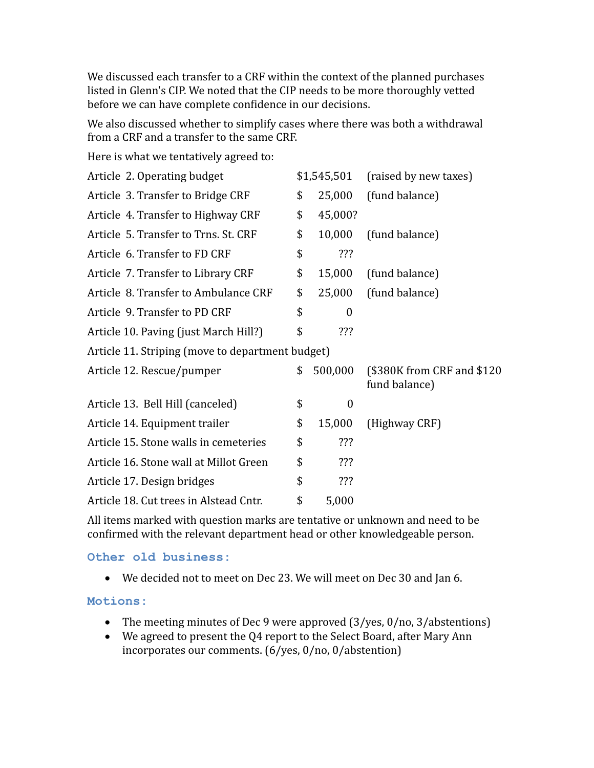We discussed each transfer to a CRF within the context of the planned purchases listed in Glenn's CIP. We noted that the CIP needs to be more thoroughly vetted before we can have complete confidence in our decisions.

We also discussed whether to simplify cases where there was both a withdrawal from a CRF and a transfer to the same CRF.

Here is what we tentatively agreed to:

| Article 2. Operating budget                      |    | \$1,545,501      | (raised by new taxes)                        |
|--------------------------------------------------|----|------------------|----------------------------------------------|
| Article 3. Transfer to Bridge CRF                | \$ | 25,000           | (fund balance)                               |
| Article 4. Transfer to Highway CRF               | \$ | 45,000?          |                                              |
| Article 5. Transfer to Trns. St. CRF             | \$ | 10,000           | (fund balance)                               |
| Article 6. Transfer to FD CRF                    | \$ | ???              |                                              |
| Article 7. Transfer to Library CRF               | \$ | 15,000           | (fund balance)                               |
| Article 8. Transfer to Ambulance CRF             | \$ | 25,000           | (fund balance)                               |
| Article 9. Transfer to PD CRF                    | \$ | $\boldsymbol{0}$ |                                              |
| Article 10. Paving (just March Hill?)            | \$ | ???              |                                              |
| Article 11. Striping (move to department budget) |    |                  |                                              |
| Article 12. Rescue/pumper                        | \$ | 500,000          | (\$380K from CRF and \$120)<br>fund balance) |
| Article 13. Bell Hill (canceled)                 | \$ | $\boldsymbol{0}$ |                                              |
| Article 14. Equipment trailer                    | \$ | 15,000           | (Highway CRF)                                |
| Article 15. Stone walls in cemeteries            | \$ | ???              |                                              |
| Article 16. Stone wall at Millot Green           | \$ | ???              |                                              |
| Article 17. Design bridges                       | \$ | ???              |                                              |
| Article 18. Cut trees in Alstead Cntr.           | \$ | 5,000            |                                              |

All items marked with question marks are tentative or unknown and need to be confirmed with the relevant department head or other knowledgeable person.

**Other old business:**

We decided not to meet on Dec 23. We will meet on Dec 30 and Jan 6.

**Motions:**

- The meeting minutes of Dec 9 were approved (3/yes, 0/no, 3/abstentions)
- We agreed to present the Q4 report to the Select Board, after Mary Ann incorporates our comments. (6/yes, 0/no, 0/abstention)